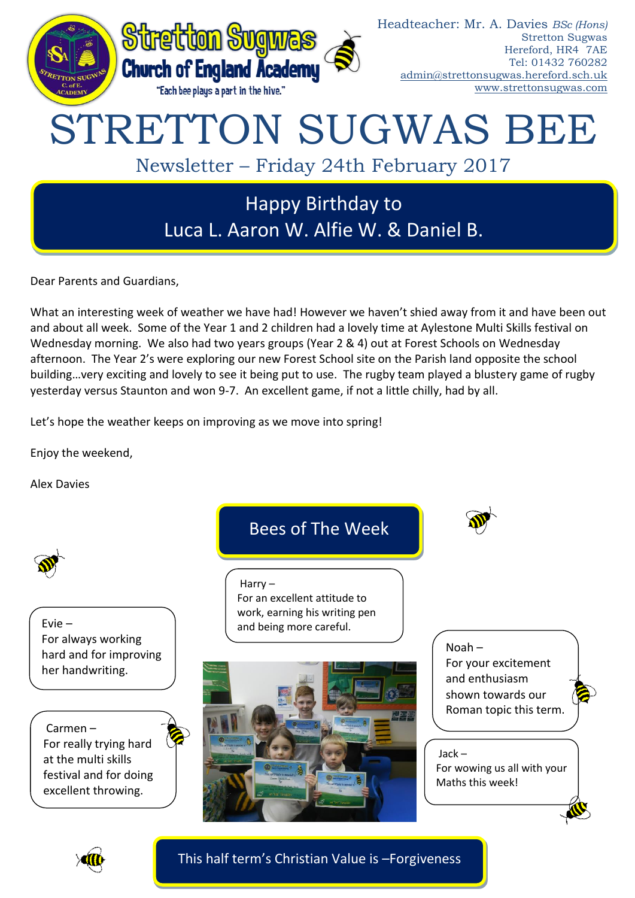

Dear Parents and Guardians,

What an interesting week of weather we have had! However we haven't shied away from it and have been out and about all week. Some of the Year 1 and 2 children had a lovely time at Aylestone Multi Skills festival on Wednesday morning. We also had two years groups (Year 2 & 4) out at Forest Schools on Wednesday afternoon. The Year 2's were exploring our new Forest School site on the Parish land opposite the school building…very exciting and lovely to see it being put to use. The rugby team played a blustery game of rugby yesterday versus Staunton and won 9-7. An excellent game, if not a little chilly, had by all.

Let's hope the weather keeps on improving as we move into spring!

Enjoy the weekend,

Alex Davies





This half term's Christian Value is –Forgiveness